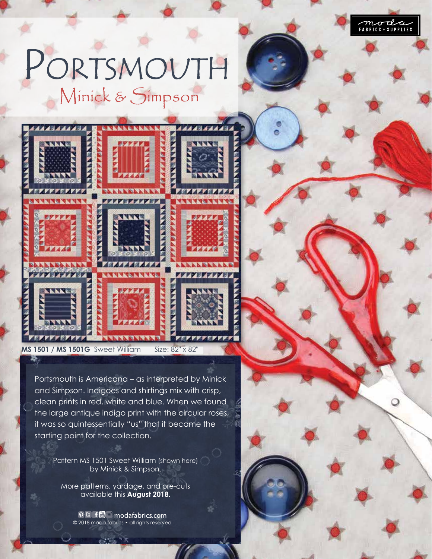

O

## PORTSMOUTH Minick & Simpson



**MS 1501 / MS 1501G** Sweet William Size: 82" x 82

Portsmouth is Americana – as interpreted by Minick and Simpson. Indigoes and shirtings mix with crisp, clean prints in red, white and blue. When we found the large antique indigo print with the circular roses, it was so quintessentially "us" that it became the starting point for the collection.

Pattern MS 1501 Sweet William (shown here) by Minick & Simpson.

More patterns, yardage, and pre-cuts available this **August 2018.**

> $\mathcal{P}$  B f  $\blacksquare$   $\blacksquare$  modafabrics.com © 2018 moda fabrics • all rights reserved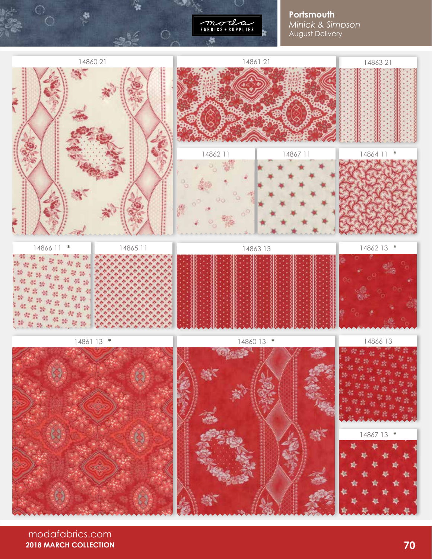

**Portsmouth** *Minick & Simpson* August Delivery



modafabrics.com **2018 MARCH COLLECTION**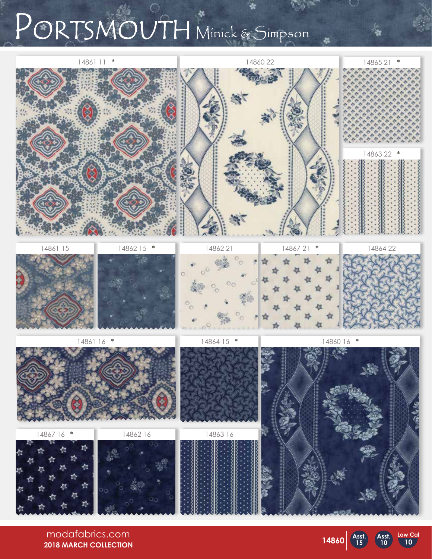## PORTSMOUTH Minick & Simpson



**14860 Asst.**

**15**

**Asst. 10**

**10**

modafabrics.com **2018 MARCH COLLECTION**